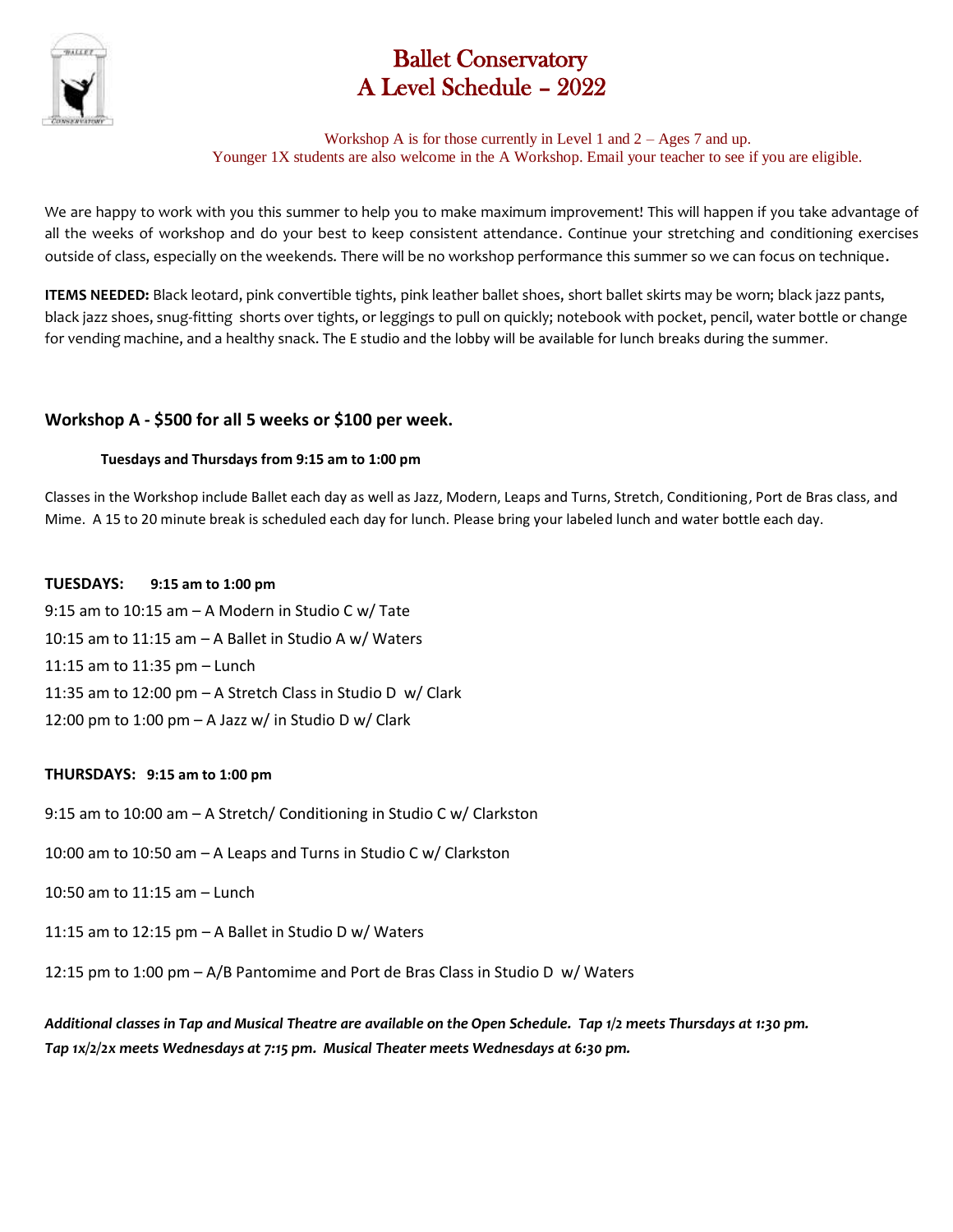

# Ballet Conservatory A Level Schedule – 2022

Workshop A is for those currently in Level 1 and  $2 - \text{Ages } 7$  and up. Younger 1X students are also welcome in the A Workshop. Email your teacher to see if you are eligible.

We are happy to work with you this summer to help you to make maximum improvement! This will happen if you take advantage of all the weeks of workshop and do your best to keep consistent attendance. Continue your stretching and conditioning exercises outside of class, especially on the weekends. There will be no workshop performance this summer so we can focus on technique.

**ITEMS NEEDED:** Black leotard, pink convertible tights, pink leather ballet shoes, short ballet skirts may be worn; black jazz pants, black jazz shoes, snug-fitting shorts over tights, or leggings to pull on quickly; notebook with pocket, pencil, water bottle or change for vending machine, and a healthy snack. The E studio and the lobby will be available for lunch breaks during the summer.

# **Workshop A - \$500 for all 5 weeks or \$100 per week.**

## **Tuesdays and Thursdays from 9:15 am to 1:00 pm**

Classes in the Workshop include Ballet each day as well as Jazz, Modern, Leaps and Turns, Stretch, Conditioning, Port de Bras class, and Mime. A 15 to 20 minute break is scheduled each day for lunch. Please bring your labeled lunch and water bottle each day.

## **TUESDAYS: 9:15 am to 1:00 pm**

9:15 am to 10:15 am – A Modern in Studio C w/ Tate 10:15 am to 11:15 am – A Ballet in Studio A w/ Waters 11:15 am to 11:35 pm – Lunch 11:35 am to 12:00 pm – A Stretch Class in Studio D w/ Clark 12:00 pm to 1:00 pm – A Jazz w/ in Studio D w/ Clark

### **THURSDAYS: 9:15 am to 1:00 pm**

9:15 am to 10:00 am – A Stretch/ Conditioning in Studio C w/ Clarkston

10:00 am to 10:50 am – A Leaps and Turns in Studio C w/ Clarkston

10:50 am to 11:15 am – Lunch

11:15 am to 12:15 pm – A Ballet in Studio D w/ Waters

12:15 pm to 1:00 pm – A/B Pantomime and Port de Bras Class in Studio D w/ Waters

*Additional classes in Tap and Musical Theatre are available on the Open Schedule. Tap 1/2 meets Thursdays at 1:30 pm. Tap 1x/2/2x meets Wednesdays at 7:15 pm. Musical Theater meets Wednesdays at 6:30 pm.*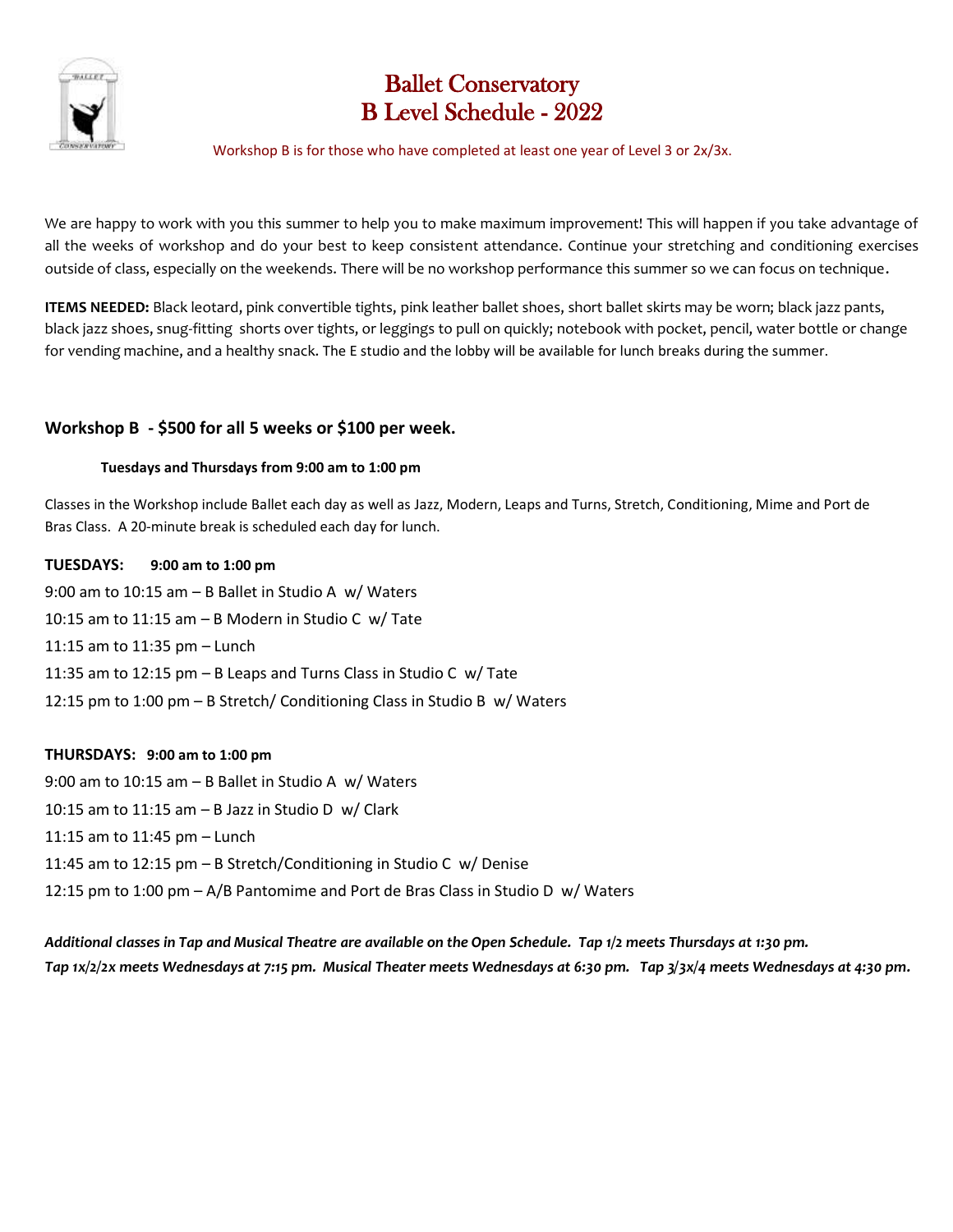

# Ballet Conservatory B Level Schedule - 2022

#### Workshop B is for those who have completed at least one year of Level 3 or 2x/3x.

We are happy to work with you this summer to help you to make maximum improvement! This will happen if you take advantage of all the weeks of workshop and do your best to keep consistent attendance. Continue your stretching and conditioning exercises outside of class, especially on the weekends. There will be no workshop performance this summer so we can focus on technique.

**ITEMS NEEDED:** Black leotard, pink convertible tights, pink leather ballet shoes, short ballet skirts may be worn; black jazz pants, black jazz shoes, snug-fitting shorts over tights, or leggings to pull on quickly; notebook with pocket, pencil, water bottle or change for vending machine, and a healthy snack. The E studio and the lobby will be available for lunch breaks during the summer.

# **Workshop B - \$500 for all 5 weeks or \$100 per week.**

#### **Tuesdays and Thursdays from 9:00 am to 1:00 pm**

Classes in the Workshop include Ballet each day as well as Jazz, Modern, Leaps and Turns, Stretch, Conditioning, Mime and Port de Bras Class. A 20-minute break is scheduled each day for lunch.

**TUESDAYS: 9:00 am to 1:00 pm**  9:00 am to 10:15 am – B Ballet in Studio A w/ Waters 10:15 am to 11:15 am – B Modern in Studio C w/ Tate 11:15 am to 11:35 pm – Lunch 11:35 am to 12:15 pm – B Leaps and Turns Class in Studio C w/ Tate 12:15 pm to 1:00 pm – B Stretch/ Conditioning Class in Studio B w/ Waters

### **THURSDAYS: 9:00 am to 1:00 pm**

9:00 am to 10:15 am – B Ballet in Studio A w/ Waters 10:15 am to 11:15 am – B Jazz in Studio D w/ Clark 11:15 am to 11:45 pm – Lunch 11:45 am to 12:15 pm – B Stretch/Conditioning in Studio C w/ Denise 12:15 pm to 1:00 pm – A/B Pantomime and Port de Bras Class in Studio D w/ Waters

*Additional classes in Tap and Musical Theatre are available on the Open Schedule. Tap 1/2 meets Thursdays at 1:30 pm. Tap 1x/2/2x meets Wednesdays at 7:15 pm. Musical Theater meets Wednesdays at 6:30 pm. Tap 3/3x/4 meets Wednesdays at 4:30 pm.*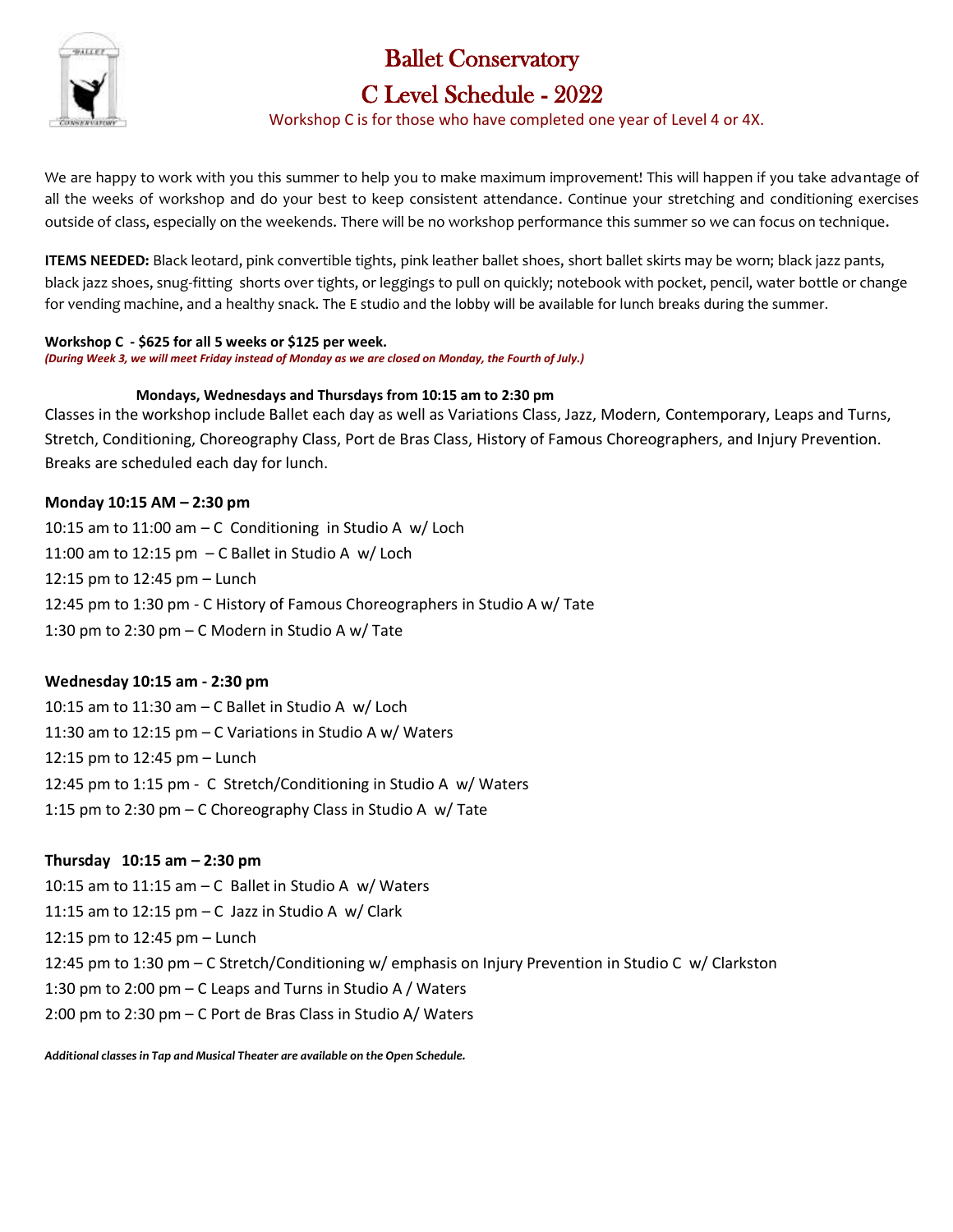

# Ballet Conservatory

# C Level Schedule - 2022

Workshop C is for those who have completed one year of Level 4 or 4X.

We are happy to work with you this summer to help you to make maximum improvement! This will happen if you take advantage of all the weeks of workshop and do your best to keep consistent attendance. Continue your stretching and conditioning exercises outside of class, especially on the weekends. There will be no workshop performance this summer so we can focus on technique.

**ITEMS NEEDED:** Black leotard, pink convertible tights, pink leather ballet shoes, short ballet skirts may be worn; black jazz pants, black jazz shoes, snug-fitting shorts over tights, or leggings to pull on quickly; notebook with pocket, pencil, water bottle or change for vending machine, and a healthy snack. The E studio and the lobby will be available for lunch breaks during the summer.

**Workshop C - \$625 for all 5 weeks or \$125 per week.**  *(During Week 3, we will meet Friday instead of Monday as we are closed on Monday, the Fourth of July.)*

#### **Mondays, Wednesdays and Thursdays from 10:15 am to 2:30 pm**

Classes in the workshop include Ballet each day as well as Variations Class, Jazz, Modern, Contemporary, Leaps and Turns, Stretch, Conditioning, Choreography Class, Port de Bras Class, History of Famous Choreographers, and Injury Prevention. Breaks are scheduled each day for lunch.

### **Monday 10:15 AM – 2:30 pm**

10:15 am to 11:00 am – C Conditioning in Studio A w/ Loch 11:00 am to 12:15 pm – C Ballet in Studio A w/ Loch 12:15 pm to 12:45 pm – Lunch 12:45 pm to 1:30 pm - C History of Famous Choreographers in Studio A w/ Tate 1:30 pm to 2:30 pm – C Modern in Studio A w/ Tate

### **Wednesday 10:15 am - 2:30 pm**

10:15 am to 11:30 am – C Ballet in Studio A w/ Loch 11:30 am to 12:15 pm – C Variations in Studio A w/ Waters 12:15 pm to 12:45 pm – Lunch 12:45 pm to 1:15 pm - C Stretch/Conditioning in Studio A w/ Waters 1:15 pm to 2:30 pm – C Choreography Class in Studio A w/ Tate

# **Thursday 10:15 am – 2:30 pm**

10:15 am to 11:15 am – C Ballet in Studio A w/ Waters 11:15 am to 12:15 pm  $-$  C Jazz in Studio A  $w/$  Clark 12:15 pm to 12:45 pm – Lunch 12:45 pm to 1:30 pm – C Stretch/Conditioning w/ emphasis on Injury Prevention in Studio C w/ Clarkston 1:30 pm to 2:00 pm – C Leaps and Turns in Studio A / Waters 2:00 pm to 2:30 pm – C Port de Bras Class in Studio A/ Waters

*Additional classes in Tap and Musical Theater are available on the Open Schedule.*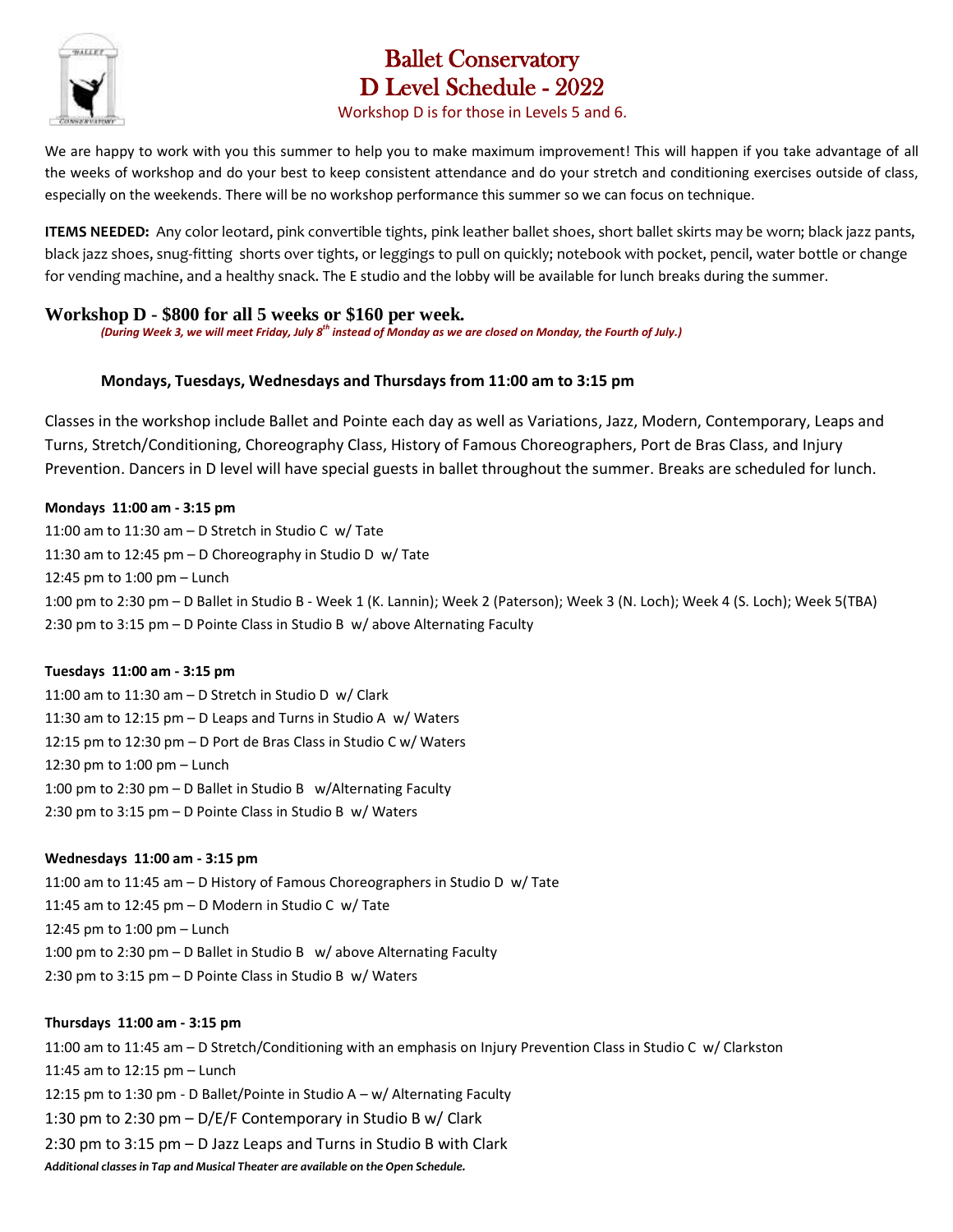

# Ballet Conservatory D Level Schedule - 2022

### Workshop D is for those in Levels 5 and 6.

We are happy to work with you this summer to help you to make maximum improvement! This will happen if you take advantage of all the weeks of workshop and do your best to keep consistent attendance and do your stretch and conditioning exercises outside of class, especially on the weekends. There will be no workshop performance this summer so we can focus on technique.

**ITEMS NEEDED:** Any color leotard, pink convertible tights, pink leather ballet shoes, short ballet skirts may be worn; black jazz pants, black jazz shoes, snug-fitting shorts over tights, or leggings to pull on quickly; notebook with pocket, pencil, water bottle or change for vending machine, and a healthy snack. The E studio and the lobby will be available for lunch breaks during the summer.

## **Workshop D - \$800 for all 5 weeks or \$160 per week.**

*(During Week 3, we will meet Friday, July 8th instead of Monday as we are closed on Monday, the Fourth of July.)*

## **Mondays, Tuesdays, Wednesdays and Thursdays from 11:00 am to 3:15 pm**

Classes in the workshop include Ballet and Pointe each day as well as Variations, Jazz, Modern, Contemporary, Leaps and Turns, Stretch/Conditioning, Choreography Class, History of Famous Choreographers, Port de Bras Class, and Injury Prevention. Dancers in D level will have special guests in ballet throughout the summer. Breaks are scheduled for lunch.

### **Mondays 11:00 am - 3:15 pm**

11:00 am to 11:30 am – D Stretch in Studio C w/ Tate 11:30 am to 12:45 pm – D Choreography in Studio D w/ Tate 12:45 pm to 1:00 pm – Lunch 1:00 pm to 2:30 pm – D Ballet in Studio B - Week 1 (K. Lannin); Week 2 (Paterson); Week 3 (N. Loch); Week 4 (S. Loch); Week 5(TBA) 2:30 pm to 3:15 pm – D Pointe Class in Studio B w/ above Alternating Faculty

### **Tuesdays 11:00 am - 3:15 pm**

11:00 am to 11:30 am – D Stretch in Studio D w/ Clark 11:30 am to 12:15 pm – D Leaps and Turns in Studio A w/ Waters 12:15 pm to 12:30 pm – D Port de Bras Class in Studio C w/ Waters 12:30 pm to 1:00 pm – Lunch 1:00 pm to 2:30 pm – D Ballet in Studio B w/Alternating Faculty 2:30 pm to 3:15 pm – D Pointe Class in Studio B w/ Waters

### **Wednesdays 11:00 am - 3:15 pm**

11:00 am to 11:45 am – D History of Famous Choreographers in Studio D w/ Tate 11:45 am to 12:45 pm – D Modern in Studio C w/ Tate 12:45 pm to 1:00 pm – Lunch 1:00 pm to 2:30 pm – D Ballet in Studio B w/ above Alternating Faculty 2:30 pm to 3:15 pm – D Pointe Class in Studio B w/ Waters

### **Thursdays 11:00 am - 3:15 pm**

11:00 am to 11:45 am – D Stretch/Conditioning with an emphasis on Injury Prevention Class in Studio C w/ Clarkston 11:45 am to 12:15 pm – Lunch 12:15 pm to 1:30 pm - D Ballet/Pointe in Studio A – w/ Alternating Faculty 1:30 pm to 2:30 pm – D/E/F Contemporary in Studio B w/ Clark 2:30 pm to 3:15 pm – D Jazz Leaps and Turns in Studio B with Clark *Additional classes in Tap and Musical Theater are available on the Open Schedule.*